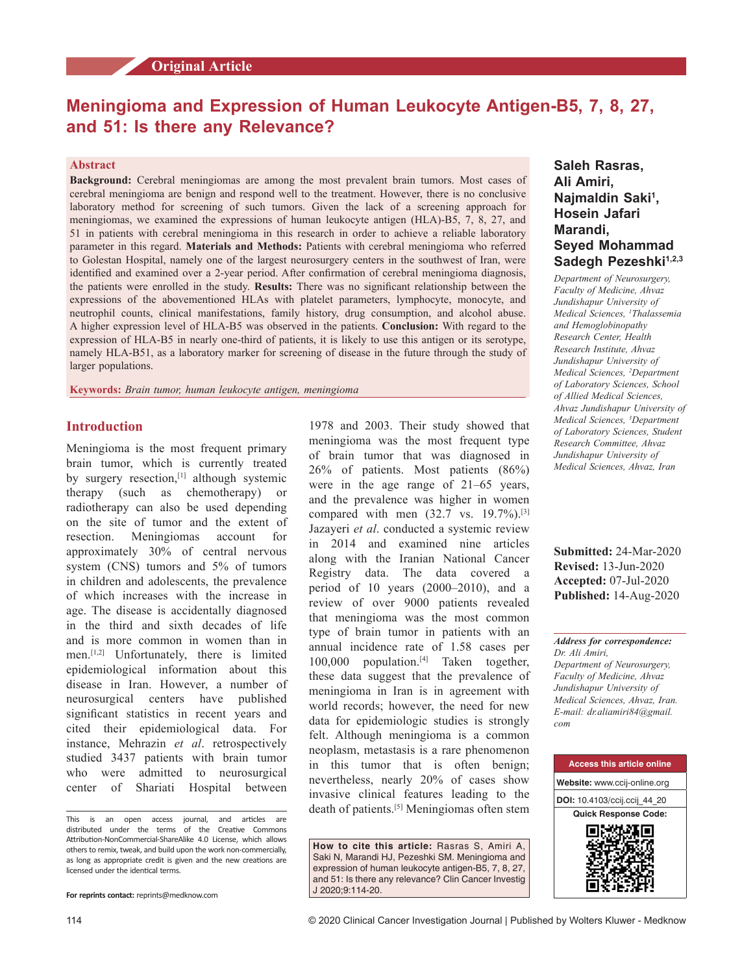# **Meningioma and Expression of Human Leukocyte Antigen‑B5, 7, 8, 27, and 51: Is there any Relevance?**

# **Abstract**

**Background:** Cerebral meningiomas are among the most prevalent brain tumors. Most cases of cerebral meningioma are benign and respond well to the treatment. However, there is no conclusive laboratory method for screening of such tumors. Given the lack of a screening approach for meningiomas, we examined the expressions of human leukocyte antigen (HLA)–B5, 7, 8, 27, and 51 in patients with cerebral meningioma in this research in order to achieve a reliable laboratory parameter in this regard. **Materials and Methods:** Patients with cerebral meningioma who referred to Golestan Hospital, namely one of the largest neurosurgery centers in the southwest of Iran, were identified and examined over a 2‑year period. After confirmation of cerebral meningioma diagnosis, the patients were enrolled in the study. **Results:** There was no significant relationship between the expressions of the abovementioned HLAs with platelet parameters, lymphocyte, monocyte, and neutrophil counts, clinical manifestations, family history, drug consumption, and alcohol abuse. A higher expression level of HLA‑B5 was observed in the patients. **Conclusion:** With regard to the expression of HLA-B5 in nearly one-third of patients, it is likely to use this antigen or its serotype, namely HLA-B51, as a laboratory marker for screening of disease in the future through the study of larger populations.

**Keywords:** *Brain tumor, human leukocyte antigen, meningioma*

# **Introduction**

Meningioma is the most frequent primary brain tumor, which is currently treated by surgery resection,<sup>[1]</sup> although systemic therapy (such as chemotherapy) radiotherapy can also be used depending on the site of tumor and the extent of resection. Meningiomas account for approximately 30% of central nervous system (CNS) tumors and 5% of tumors in children and adolescents, the prevalence of which increases with the increase in age. The disease is accidentally diagnosed in the third and sixth decades of life and is more common in women than in men.[1,2] Unfortunately, there is limited epidemiological information about this disease in Iran. However, a number of neurosurgical centers have published significant statistics in recent years and cited their epidemiological data. For instance, Mehrazin *et al*. retrospectively studied 3437 patients with brain tumor who were admitted to neurosurgical center of Shariati Hospital between

This is an open access journal, and articles are distributed under the terms of the Creative Commons Attribution‑NonCommercial‑ShareAlike 4.0 License, which allows others to remix, tweak, and build upon the work non‑commercially, as long as appropriate credit is given and the new creations are licensed under the identical terms.

1978 and 2003. Their study showed that meningioma was the most frequent type of brain tumor that was diagnosed in 26% of patients. Most patients (86%) were in the age range of 21–65 years, and the prevalence was higher in women compared with men  $(32.7 \text{ vs. } 19.7\%).$ <sup>[3]</sup> Jazayeri *et al*. conducted a systemic review in 2014 and examined nine articles along with the Iranian National Cancer Registry data. The data covered a period of 10 years (2000–2010), and a review of over 9000 patients revealed that meningioma was the most common type of brain tumor in patients with an annual incidence rate of 1.58 cases per 100,000 population.<sup>[4]</sup> Taken together, these data suggest that the prevalence of meningioma in Iran is in agreement with world records; however, the need for new data for epidemiologic studies is strongly felt. Although meningioma is a common neoplasm, metastasis is a rare phenomenon in this tumor that is often benign; nevertheless, nearly 20% of cases show invasive clinical features leading to the death of patients.[5] Meningiomas often stem

**How to cite this article:** Rasras S, Amiri A, Saki N, Marandi HJ, Pezeshki SM. Meningioma and expression of human leukocyte antigen-B5, 7, 8, 27, and 51: Is there any relevance? Clin Cancer Investig J 2020;9:114-20.

# **Saleh Rasras, Ali Amiri, Najmaldin Saki<sup>1</sup> , Hosein Jafari Marandi, Seyed Mohammad**  Sadegh Pezeshki<sup>1,2,3</sup>

*Department of Neurosurgery, Faculty of Medicine, Ahvaz Jundishapur University of Medical Sciences, 1 Thalassemia and Hemoglobinopathy Research Center, Health Research Institute, Ahvaz Jundishapur University of Medical Sciences, 2 Department of Laboratory Sciences, School of Allied Medical Sciences, Ahvaz Jundishapur University of Medical Sciences, 3 Department of Laboratory Sciences, Student Research Committee, Ahvaz Jundishapur University of Medical Sciences, Ahvaz, Iran*

**Submitted:** 24-Mar-2020 **Revised:** 13-Jun-2020 **Accepted:** 07-Jul-2020 **Published:** 14-Aug-2020

*Address for correspondence: Dr. Ali Amiri, Department of Neurosurgery, Faculty of Medicine, Ahvaz Jundishapur University of Medical Sciences, Ahvaz, Iran. E‑mail: dr.aliamiri84@gmail. com*



**For reprints contact:** reprints@medknow.com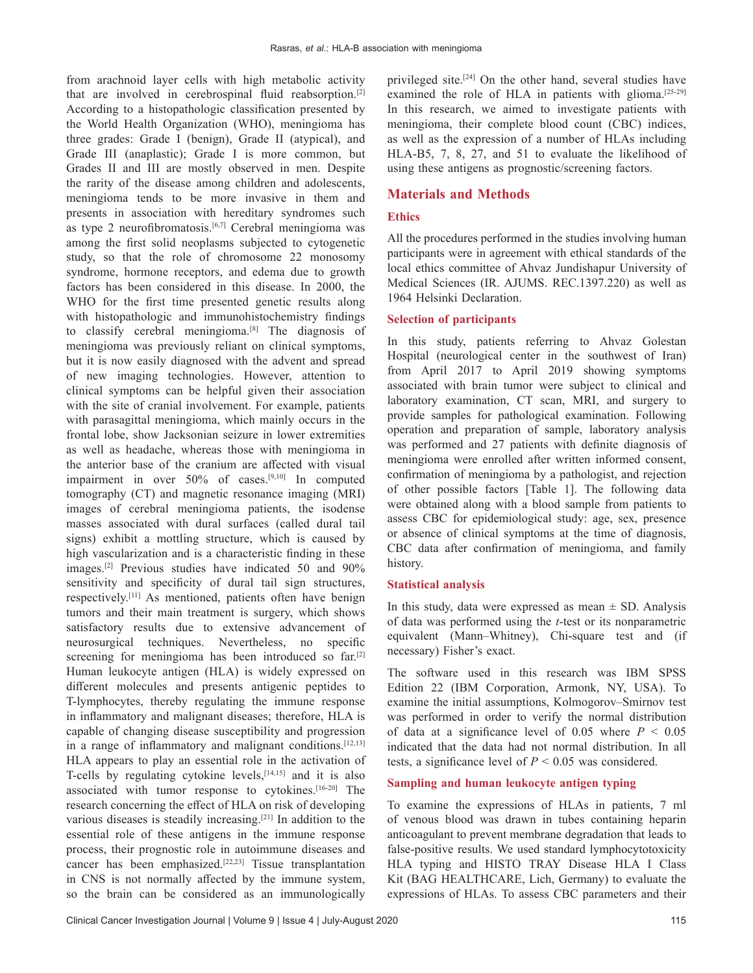from arachnoid layer cells with high metabolic activity that are involved in cerebrospinal fluid reabsorption.[2] According to a histopathologic classification presented by the World Health Organization (WHO), meningioma has three grades: Grade I (benign), Grade II (atypical), and Grade III (anaplastic); Grade I is more common, but Grades II and III are mostly observed in men. Despite the rarity of the disease among children and adolescents, meningioma tends to be more invasive in them and presents in association with hereditary syndromes such as type 2 neurofibromatosis.<sup>[6,7]</sup> Cerebral meningioma was among the first solid neoplasms subjected to cytogenetic study, so that the role of chromosome 22 monosomy syndrome, hormone receptors, and edema due to growth factors has been considered in this disease. In 2000, the WHO for the first time presented genetic results along with histopathologic and immunohistochemistry findings to classify cerebral meningioma.<sup>[8]</sup> The diagnosis of meningioma was previously reliant on clinical symptoms, but it is now easily diagnosed with the advent and spread of new imaging technologies. However, attention to clinical symptoms can be helpful given their association with the site of cranial involvement. For example, patients with parasagittal meningioma, which mainly occurs in the frontal lobe, show Jacksonian seizure in lower extremities as well as headache, whereas those with meningioma in the anterior base of the cranium are affected with visual impairment in over 50% of cases.[9,10] In computed tomography (CT) and magnetic resonance imaging (MRI) images of cerebral meningioma patients, the isodense masses associated with dural surfaces (called dural tail signs) exhibit a mottling structure, which is caused by high vascularization and is a characteristic finding in these images.[2] Previous studies have indicated 50 and 90% sensitivity and specificity of dural tail sign structures, respectively.[11] As mentioned, patients often have benign tumors and their main treatment is surgery, which shows satisfactory results due to extensive advancement of neurosurgical techniques. Nevertheless, no specific screening for meningioma has been introduced so far.<sup>[2]</sup> Human leukocyte antigen (HLA) is widely expressed on different molecules and presents antigenic peptides to T‑lymphocytes, thereby regulating the immune response in inflammatory and malignant diseases; therefore, HLA is capable of changing disease susceptibility and progression in a range of inflammatory and malignant conditions.<sup>[12,13]</sup> HLA appears to play an essential role in the activation of T-cells by regulating cytokine levels,<sup>[14,15]</sup> and it is also associated with tumor response to cytokines.<sup>[16-20]</sup> The research concerning the effect of HLA on risk of developing various diseases is steadily increasing.[21] In addition to the essential role of these antigens in the immune response process, their prognostic role in autoimmune diseases and cancer has been emphasized.[22,23] Tissue transplantation in CNS is not normally affected by the immune system, so the brain can be considered as an immunologically

privileged site.[24] On the other hand, several studies have examined the role of HLA in patients with glioma.<sup>[25-29]</sup> In this research, we aimed to investigate patients with meningioma, their complete blood count (CBC) indices, as well as the expression of a number of HLAs including HLA‑B5, 7, 8, 27, and 51 to evaluate the likelihood of using these antigens as prognostic/screening factors.

# **Materials and Methods**

## **Ethics**

All the procedures performed in the studies involving human participants were in agreement with ethical standards of the local ethics committee of Ahvaz Jundishapur University of Medical Sciences (IR. AJUMS. REC.1397.220) as well as 1964 Helsinki Declaration.

## **Selection of participants**

In this study, patients referring to Ahvaz Golestan Hospital (neurological center in the southwest of Iran) from April 2017 to April 2019 showing symptoms associated with brain tumor were subject to clinical and laboratory examination, CT scan, MRI, and surgery to provide samples for pathological examination. Following operation and preparation of sample, laboratory analysis was performed and 27 patients with definite diagnosis of meningioma were enrolled after written informed consent, confirmation of meningioma by a pathologist, and rejection of other possible factors [Table 1]. The following data were obtained along with a blood sample from patients to assess CBC for epidemiological study: age, sex, presence or absence of clinical symptoms at the time of diagnosis, CBC data after confirmation of meningioma, and family history.

# **Statistical analysis**

In this study, data were expressed as mean  $\pm$  SD. Analysis of data was performed using the *t*‑test or its nonparametric equivalent (Mann–Whitney), Chi-square test and (if necessary) Fisher's exact.

The software used in this research was IBM SPSS Edition 22 (IBM Corporation, Armonk, NY, USA). To examine the initial assumptions, Kolmogorov–Smirnov test was performed in order to verify the normal distribution of data at a significance level of  $0.05$  where  $P < 0.05$ indicated that the data had not normal distribution. In all tests, a significance level of  $P < 0.05$  was considered.

# **Sampling and human leukocyte antigen typing**

To examine the expressions of HLAs in patients, 7 ml of venous blood was drawn in tubes containing heparin anticoagulant to prevent membrane degradation that leads to false-positive results. We used standard lymphocytotoxicity HLA typing and HISTO TRAY Disease HLA I Class Kit (BAG HEALTHCARE, Lich, Germany) to evaluate the expressions of HLAs. To assess CBC parameters and their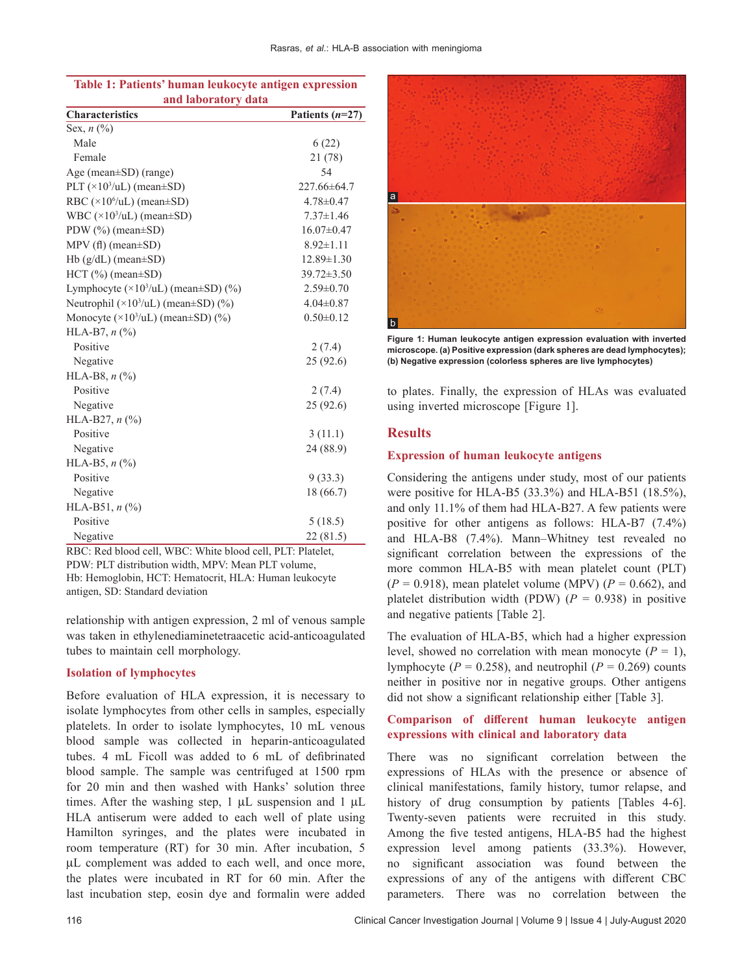| and laboratory data                                      |                   |  |  |  |  |  |
|----------------------------------------------------------|-------------------|--|--|--|--|--|
| <b>Characteristics</b>                                   | Patients $(n=27)$ |  |  |  |  |  |
| Sex, $n$ $(\%)$                                          |                   |  |  |  |  |  |
| Male                                                     | 6(22)             |  |  |  |  |  |
| Female                                                   | 21 (78)           |  |  |  |  |  |
| Age (mean±SD) (range)                                    | 54                |  |  |  |  |  |
| PLT $(\times 10^3/\text{uL})$ (mean $\pm$ SD)            | 227.66±64.7       |  |  |  |  |  |
| RBC $(\times 10^6/\text{uL})$ (mean±SD)                  | $4.78 \pm 0.47$   |  |  |  |  |  |
| WBC $(\times 10^3/\text{uL})$ (mean $\pm$ SD)            | $7.37 \pm 1.46$   |  |  |  |  |  |
| PDW (%) (mean±SD)                                        | $16.07 \pm 0.47$  |  |  |  |  |  |
| $MPV$ (fl) (mean $\pm SD$ )                              | $8.92 \pm 1.11$   |  |  |  |  |  |
| $Hb(g/dL)$ (mean $\pm SD$ )                              | $12.89 \pm 1.30$  |  |  |  |  |  |
| $HCT$ (%) (mean $\pm SD$ )                               | $39.72 \pm 3.50$  |  |  |  |  |  |
| Lymphocyte $(\times 10^3/\text{uL})$ (mean $\pm$ SD) (%) | $2.59 \pm 0.70$   |  |  |  |  |  |
| Neutrophil $(\times 10^3/\text{uL})$ (mean±SD) (%)       | $4.04 \pm 0.87$   |  |  |  |  |  |
| Monocyte $(\times 10^3/\text{uL})$ (mean±SD) $(\%)$      | $0.50 \pm 0.12$   |  |  |  |  |  |
| HLA-B7, $n$ (%)                                          |                   |  |  |  |  |  |
| Positive                                                 | 2(7.4)            |  |  |  |  |  |
| Negative                                                 | 25 (92.6)         |  |  |  |  |  |
| HLA-B8, $n$ (%)                                          |                   |  |  |  |  |  |
| Positive                                                 | 2(7.4)            |  |  |  |  |  |
| Negative                                                 | 25 (92.6)         |  |  |  |  |  |
| HLA-B27, $n$ (%)                                         |                   |  |  |  |  |  |
| Positive                                                 | 3(11.1)           |  |  |  |  |  |
| Negative                                                 | 24 (88.9)         |  |  |  |  |  |
| HLA-B5, $n$ (%)                                          |                   |  |  |  |  |  |
| Positive                                                 | 9(33.3)           |  |  |  |  |  |
| Negative                                                 | 18 (66.7)         |  |  |  |  |  |
| HLA-B51, $n$ (%)                                         |                   |  |  |  |  |  |
| Positive                                                 | 5(18.5)           |  |  |  |  |  |
| Negative                                                 | 22 (81.5)         |  |  |  |  |  |

**Table 1: Patients' human leukocyte antigen expression** 

RBC: Red blood cell, WBC: White blood cell, PLT: Platelet, PDW: PLT distribution width, MPV: Mean PLT volume,

Hb: Hemoglobin, HCT: Hematocrit, HLA: Human leukocyte antigen, SD: Standard deviation

relationship with antigen expression, 2 ml of venous sample was taken in ethylenediaminetetraacetic acid‑anticoagulated tubes to maintain cell morphology.

#### **Isolation of lymphocytes**

Before evaluation of HLA expression, it is necessary to isolate lymphocytes from other cells in samples, especially platelets. In order to isolate lymphocytes, 10 mL venous blood sample was collected in heparin-anticoagulated tubes. 4 mL Ficoll was added to 6 mL of defibrinated blood sample. The sample was centrifuged at 1500 rpm for 20 min and then washed with Hanks' solution three times. After the washing step,  $1 \mu L$  suspension and  $1 \mu L$ HLA antiserum were added to each well of plate using Hamilton syringes, and the plates were incubated in room temperature (RT) for 30 min. After incubation, 5 µL complement was added to each well, and once more, the plates were incubated in RT for 60 min. After the last incubation step, eosin dye and formalin were added



**Figure 1: Human leukocyte antigen expression evaluation with inverted microscope. (a) Positive expression (dark spheres are dead lymphocytes); (b) Negative expression (colorless spheres are live lymphocytes)**

to plates. Finally, the expression of HLAs was evaluated using inverted microscope [Figure 1].

# **Results**

#### **Expression of human leukocyte antigens**

Considering the antigens under study, most of our patients were positive for HLA-B5 (33.3%) and HLA-B51 (18.5%), and only 11.1% of them had HLA‑B27. A few patients were positive for other antigens as follows: HLA-B7 (7.4%) and HLA‑B8 (7.4%). Mann–Whitney test revealed no significant correlation between the expressions of the more common HLA-B5 with mean platelet count (PLT)  $(P = 0.918)$ , mean platelet volume (MPV)  $(P = 0.662)$ , and platelet distribution width  $(PDW)$   $(P = 0.938)$  in positive and negative patients [Table 2].

The evaluation of HLA-B5, which had a higher expression level, showed no correlation with mean monocyte  $(P = 1)$ , lymphocyte ( $P = 0.258$ ), and neutrophil ( $P = 0.269$ ) counts neither in positive nor in negative groups. Other antigens did not show a significant relationship either [Table 3].

# **Comparison of different human leukocyte antigen expressions with clinical and laboratory data**

There was no significant correlation between the expressions of HLAs with the presence or absence of clinical manifestations, family history, tumor relapse, and history of drug consumption by patients [Tables 4-6]. Twenty‑seven patients were recruited in this study. Among the five tested antigens, HLA‑B5 had the highest expression level among patients (33.3%). However, no significant association was found between the expressions of any of the antigens with different CBC parameters. There was no correlation between the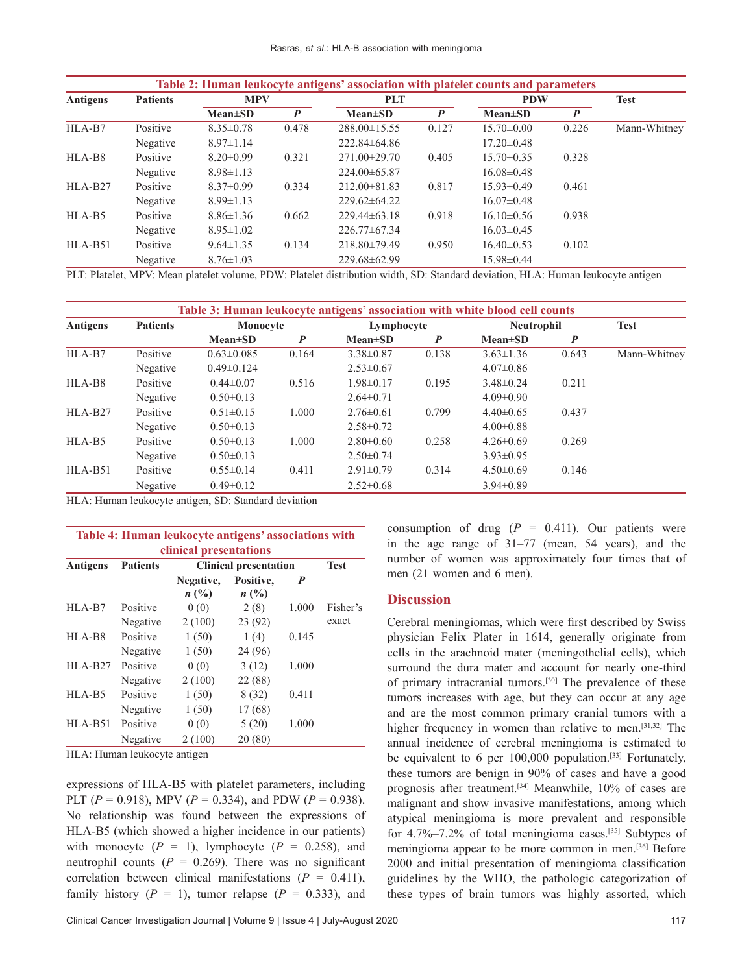| Table 2: Human leukocyte antigens' association with platelet counts and parameters |                 |                 |               |                    |               |                  |               |                  |  |
|------------------------------------------------------------------------------------|-----------------|-----------------|---------------|--------------------|---------------|------------------|---------------|------------------|--|
| <b>Antigens</b>                                                                    | <b>Patients</b> | <b>MPV</b>      |               | <b>PLT</b>         |               | <b>PDW</b>       |               | <b>Test</b>      |  |
|                                                                                    |                 |                 | $Mean \pm SD$ | $\boldsymbol{P}$   | $Mean \pm SD$ | $\boldsymbol{P}$ | $Mean \pm SD$ | $\boldsymbol{P}$ |  |
| HLA-B7                                                                             | Positive        | $8.35 \pm 0.78$ | 0.478         | $288.00 \pm 15.55$ | 0.127         | $15.70 \pm 0.00$ | 0.226         | Mann-Whitney     |  |
|                                                                                    | Negative        | $8.97 \pm 1.14$ |               | $222.84\pm 64.86$  |               | $17.20 \pm 0.48$ |               |                  |  |
| HLA-B8                                                                             | Positive        | $8.20 \pm 0.99$ | 0.321         | $271.00 \pm 29.70$ | 0.405         | $15.70 \pm 0.35$ | 0.328         |                  |  |
|                                                                                    | Negative        | $8.98 \pm 1.13$ |               | $224.00\pm 65.87$  |               | $16.08 \pm 0.48$ |               |                  |  |
| $HLA-B27$                                                                          | Positive        | $8.37 \pm 0.99$ | 0.334         | $212.00\pm81.83$   | 0.817         | $15.93 \pm 0.49$ | 0.461         |                  |  |
|                                                                                    | Negative        | $8.99 \pm 1.13$ |               | $229.62\pm 64.22$  |               | $16.07 \pm 0.48$ |               |                  |  |
| HLA-B5                                                                             | Positive        | $8.86 \pm 1.36$ | 0.662         | $229.44\pm 63.18$  | 0.918         | $16.10\pm0.56$   | 0.938         |                  |  |
|                                                                                    | Negative        | $8.95 \pm 1.02$ |               | $226.77\pm67.34$   |               | $16.03 \pm 0.45$ |               |                  |  |
| $HLA-B51$                                                                          | Positive        | $9.64 \pm 1.35$ | 0.134         | $218.80\pm79.49$   | 0.950         | $16.40\pm0.53$   | 0.102         |                  |  |
|                                                                                    | Negative        | $8.76 \pm 1.03$ |               | 229.68±62.99       |               | 15.98±0.44       |               |                  |  |

PLT: Platelet, MPV: Mean platelet volume, PDW: Platelet distribution width, SD: Standard deviation, HLA: Human leukocyte antigen

|                     | Table 3: Human leukocyte antigens' association with white blood cell counts |                  |               |                  |               |                   |               |                  |  |
|---------------------|-----------------------------------------------------------------------------|------------------|---------------|------------------|---------------|-------------------|---------------|------------------|--|
| Antigens            | <b>Patients</b>                                                             | Monocyte         |               | Lymphocyte       |               | <b>Neutrophil</b> |               | <b>Test</b>      |  |
|                     |                                                                             |                  | $Mean \pm SD$ | $\boldsymbol{P}$ | $Mean \pm SD$ | $\boldsymbol{P}$  | $Mean \pm SD$ | $\boldsymbol{P}$ |  |
| HLA-B7              | Positive                                                                    | $0.63 \pm 0.085$ | 0.164         | $3.38 \pm 0.87$  | 0.138         | $3.63 \pm 1.36$   | 0.643         | Mann-Whitney     |  |
|                     | Negative                                                                    | $0.49 \pm 0.124$ |               | $2.53 \pm 0.67$  |               | $4.07 \pm 0.86$   |               |                  |  |
| HLA-B8              | Positive                                                                    | $0.44 \pm 0.07$  | 0.516         | $1.98 \pm 0.17$  | 0.195         | $3.48\pm0.24$     | 0.211         |                  |  |
|                     | Negative                                                                    | $0.50 \pm 0.13$  |               | $2.64 \pm 0.71$  |               | $4.09 \pm 0.90$   |               |                  |  |
| HLA-B <sub>27</sub> | Positive                                                                    | $0.51 \pm 0.15$  | 1.000         | $2.76\pm0.61$    | 0.799         | $4.40\pm0.65$     | 0.437         |                  |  |
|                     | Negative                                                                    | $0.50 \pm 0.13$  |               | $2.58 \pm 0.72$  |               | $4.00 \pm 0.88$   |               |                  |  |
| HLA-B5              | Positive                                                                    | $0.50 \pm 0.13$  | 1.000         | $2.80\pm0.60$    | 0.258         | $4.26 \pm 0.69$   | 0.269         |                  |  |
|                     | Negative                                                                    | $0.50 \pm 0.13$  |               | $2.50\pm0.74$    |               | $3.93 \pm 0.95$   |               |                  |  |
| HLA-B51             | Positive                                                                    | $0.55 \pm 0.14$  | 0.411         | $2.91 \pm 0.79$  | 0.314         | $4.50 \pm 0.69$   | 0.146         |                  |  |
|                     | Negative                                                                    | $0.49 \pm 0.12$  |               | $2.52 \pm 0.68$  |               | $3.94 \pm 0.89$   |               |                  |  |

HLA: Human leukocyte antigen, SD: Standard deviation

| Table 4: Human leukocyte antigens' associations with   |                 |                        |                             |       |             |  |  |  |
|--------------------------------------------------------|-----------------|------------------------|-----------------------------|-------|-------------|--|--|--|
| clinical presentations<br><b>Clinical presentation</b> |                 |                        |                             |       |             |  |  |  |
| <b>Antigens</b>                                        | <b>Patients</b> | Negative,<br>$n\ (\%)$ | Positive,<br>$n(^{0}/_{0})$ | P     | <b>Test</b> |  |  |  |
| HLA-B7                                                 | Positive        | 0(0)                   | 2(8)                        | 1.000 | Fisher's    |  |  |  |
|                                                        | Negative        | 2(100)                 | 23(92)                      |       | exact       |  |  |  |
| HLA-B8                                                 | Positive        | 1(50)                  | 1(4)                        | 0.145 |             |  |  |  |
|                                                        | Negative        | 1(50)                  | 24 (96)                     |       |             |  |  |  |
| $HLA-B27$                                              | Positive        | 0(0)                   | 3(12)                       | 1.000 |             |  |  |  |
|                                                        | Negative        | 2(100)                 | 22 (88)                     |       |             |  |  |  |
| HLA-B5                                                 | Positive        | 1(50)                  | 8 (32)                      | 0.411 |             |  |  |  |
|                                                        | Negative        | 1(50)                  | 17(68)                      |       |             |  |  |  |
| $HLA-B51$                                              | Positive        | 0(0)                   | 5(20)                       | 1.000 |             |  |  |  |
|                                                        | Negative        | 2(100)                 | 20(80)                      |       |             |  |  |  |

HLA: Human leukocyte antigen

expressions of HLA‑B5 with platelet parameters, including PLT ( $P = 0.918$ ), MPV ( $P = 0.334$ ), and PDW ( $P = 0.938$ ). No relationship was found between the expressions of HLA-B5 (which showed a higher incidence in our patients) with monocyte  $(P = 1)$ , lymphocyte  $(P = 0.258)$ , and neutrophil counts  $(P = 0.269)$ . There was no significant correlation between clinical manifestations  $(P = 0.411)$ , family history  $(P = 1)$ , tumor relapse  $(P = 0.333)$ , and

consumption of drug  $(P = 0.411)$ . Our patients were in the age range of  $31-77$  (mean, 54 years), and the number of women was approximately four times that of men (21 women and 6 men).

## **Discussion**

Cerebral meningiomas, which were first described by Swiss physician Felix Plater in 1614, generally originate from cells in the arachnoid mater (meningothelial cells), which surround the dura mater and account for nearly one-third of primary intracranial tumors.[30] The prevalence of these tumors increases with age, but they can occur at any age and are the most common primary cranial tumors with a higher frequency in women than relative to men.<sup>[31,32]</sup> The annual incidence of cerebral meningioma is estimated to be equivalent to 6 per  $100,000$  population.<sup>[33]</sup> Fortunately, these tumors are benign in 90% of cases and have a good prognosis after treatment.<sup>[34]</sup> Meanwhile, 10% of cases are malignant and show invasive manifestations, among which atypical meningioma is more prevalent and responsible for  $4.7\%$ –7.2% of total meningioma cases.<sup>[35]</sup> Subtypes of meningioma appear to be more common in men.[36] Before 2000 and initial presentation of meningioma classification guidelines by the WHO, the pathologic categorization of these types of brain tumors was highly assorted, which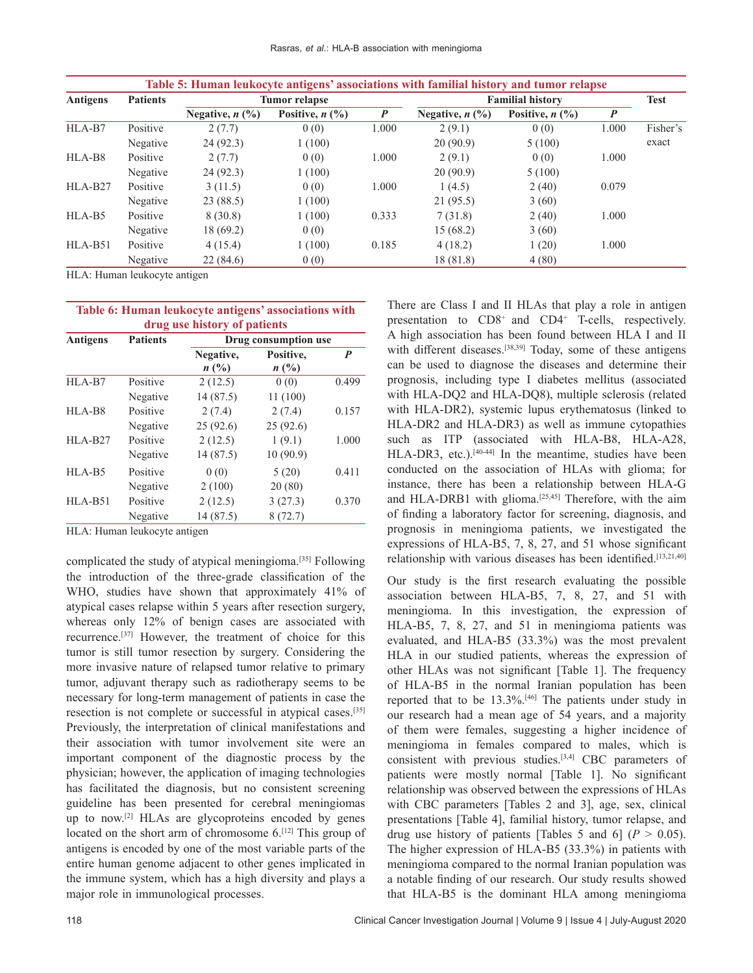| Antigens  | <b>Patients</b> | <b>Tumor</b> relapse                     |                      |                  | <b>Familial history</b>                  | <b>Test</b>                              |                  |          |
|-----------|-----------------|------------------------------------------|----------------------|------------------|------------------------------------------|------------------------------------------|------------------|----------|
|           |                 | Negative, $n$ $\left(\frac{9}{6}\right)$ | Positive, $n$ $(\%)$ | $\boldsymbol{P}$ | Negative, $n$ $\left(\frac{9}{6}\right)$ | Positive, $n$ $\left(\frac{0}{0}\right)$ | $\boldsymbol{P}$ |          |
| HLA-B7    | Positive        | 2(7.7)                                   | 0(0)                 | 1.000            | 2(9.1)                                   | 0(0)                                     | 1.000            | Fisher's |
|           | Negative        | 24(92.3)                                 | 1(100)               |                  | 20(90.9)                                 | 5(100)                                   |                  | exact    |
| HLA-B8    | Positive        | 2(7.7)                                   | 0(0)                 | 1.000            | 2(9.1)                                   | 0(0)                                     | 1.000            |          |
|           | Negative        | 24(92.3)                                 | 1(100)               |                  | 20(90.9)                                 | 5(100)                                   |                  |          |
| $HLA-B27$ | Positive        | 3(11.5)                                  | 0(0)                 | 1.000            | 1(4.5)                                   | 2(40)                                    | 0.079            |          |
|           | Negative        | 23(88.5)                                 | 1(100)               |                  | 21 (95.5)                                | 3(60)                                    |                  |          |
| HLA-B5    | Positive        | 8(30.8)                                  | 1(100)               | 0.333            | 7(31.8)                                  | 2(40)                                    | 1.000            |          |
|           | Negative        | 18 (69.2)                                | 0(0)                 |                  | 15 (68.2)                                | 3(60)                                    |                  |          |
| $HLA-B51$ | Positive        | 4(15.4)                                  | 1(100)               | 0.185            | 4(18.2)                                  | 1(20)                                    | 1.000            |          |
|           | Negative        | 22(84.6)                                 | 0(0)                 |                  | 18 (81.8)                                | 4(80)                                    |                  |          |

HLA: Human leukocyte antigen

| Table 6: Human leukocyte antigens' associations with |                 |                             |                                                      |       |  |  |  |
|------------------------------------------------------|-----------------|-----------------------------|------------------------------------------------------|-------|--|--|--|
| <b>Antigens</b>                                      | <b>Patients</b> |                             | drug use history of patients<br>Drug consumption use |       |  |  |  |
|                                                      |                 | Negative,<br>$n(^{0}/_{0})$ | Positive,<br>$n(^{0}/_{0})$                          | P     |  |  |  |
| HLA-B7                                               | Positive        | 2(12.5)                     | 0(0)                                                 | 0.499 |  |  |  |
|                                                      | Negative        | 14(87.5)                    | 11(100)                                              |       |  |  |  |
| HLA-B8                                               | Positive        | 2(7.4)                      | 2(7.4)                                               | 0.157 |  |  |  |
|                                                      | Negative        | 25(92.6)                    | 25(92.6)                                             |       |  |  |  |
| HLA-B <sub>27</sub>                                  | Positive        | 2(12.5)                     | 1(9.1)                                               | 1.000 |  |  |  |
|                                                      | Negative        | 14 (87.5)                   | 10(90.9)                                             |       |  |  |  |
| HLA-B5                                               | Positive        | 0(0)                        | 5(20)                                                | 0.411 |  |  |  |
|                                                      | Negative        | 2(100)                      | 20(80)                                               |       |  |  |  |
| $HLA-B51$                                            | Positive        | 2(12.5)                     | 3(27.3)                                              | 0.370 |  |  |  |
|                                                      | Negative        | 14 (87.5)                   | 8(72.7)                                              |       |  |  |  |

HLA: Human leukocyte antigen

complicated the study of atypical meningioma.[35] Following the introduction of the three‑grade classification of the WHO, studies have shown that approximately 41% of atypical cases relapse within 5 years after resection surgery, whereas only 12% of benign cases are associated with recurrence.[37] However, the treatment of choice for this tumor is still tumor resection by surgery. Considering the more invasive nature of relapsed tumor relative to primary tumor, adjuvant therapy such as radiotherapy seems to be necessary for long‑term management of patients in case the resection is not complete or successful in atypical cases.[35] Previously, the interpretation of clinical manifestations and their association with tumor involvement site were an important component of the diagnostic process by the physician; however, the application of imaging technologies has facilitated the diagnosis, but no consistent screening guideline has been presented for cerebral meningiomas up to now.[2] HLAs are glycoproteins encoded by genes located on the short arm of chromosome  $6$ .<sup>[12]</sup> This group of antigens is encoded by one of the most variable parts of the entire human genome adjacent to other genes implicated in the immune system, which has a high diversity and plays a major role in immunological processes.

There are Class I and II HLAs that play a role in antigen presentation to CD8<sup>+</sup> and CD4<sup>+</sup> T-cells, respectively. A high association has been found between HLA I and II with different diseases.<sup>[38,39]</sup> Today, some of these antigens can be used to diagnose the diseases and determine their prognosis, including type I diabetes mellitus (associated with HLA-DQ2 and HLA-DQ8), multiple sclerosis (related with HLA-DR2), systemic lupus erythematosus (linked to HLA‑DR2 and HLA‑DR3) as well as immune cytopathies such as ITP (associated with HLA-B8, HLA-A28, HLA-DR3, etc.).<sup>[40-44]</sup> In the meantime, studies have been conducted on the association of HLAs with glioma; for instance, there has been a relationship between HLA‑G and HLA-DRB1 with glioma.<sup>[25,45]</sup> Therefore, with the aim of finding a laboratory factor for screening, diagnosis, and prognosis in meningioma patients, we investigated the expressions of HLA‑B5, 7, 8, 27, and 51 whose significant relationship with various diseases has been identified.<sup>[13,21,40]</sup>

Our study is the first research evaluating the possible association between HLA‑B5, 7, 8, 27, and 51 with meningioma. In this investigation, the expression of HLA‑B5, 7, 8, 27, and 51 in meningioma patients was evaluated, and HLA-B5 (33.3%) was the most prevalent HLA in our studied patients, whereas the expression of other HLAs was not significant [Table 1]. The frequency of HLA‑B5 in the normal Iranian population has been reported that to be 13.3%.[46] The patients under study in our research had a mean age of 54 years, and a majority of them were females, suggesting a higher incidence of meningioma in females compared to males, which is consistent with previous studies.<sup>[3,4]</sup> CBC parameters of patients were mostly normal [Table 1]. No significant relationship was observed between the expressions of HLAs with CBC parameters [Tables 2 and 3], age, sex, clinical presentations [Table 4], familial history, tumor relapse, and drug use history of patients [Tables 5 and 6]  $(P > 0.05)$ . The higher expression of HLA-B5 (33.3%) in patients with meningioma compared to the normal Iranian population was a notable finding of our research. Our study results showed that HLA‑B5 is the dominant HLA among meningioma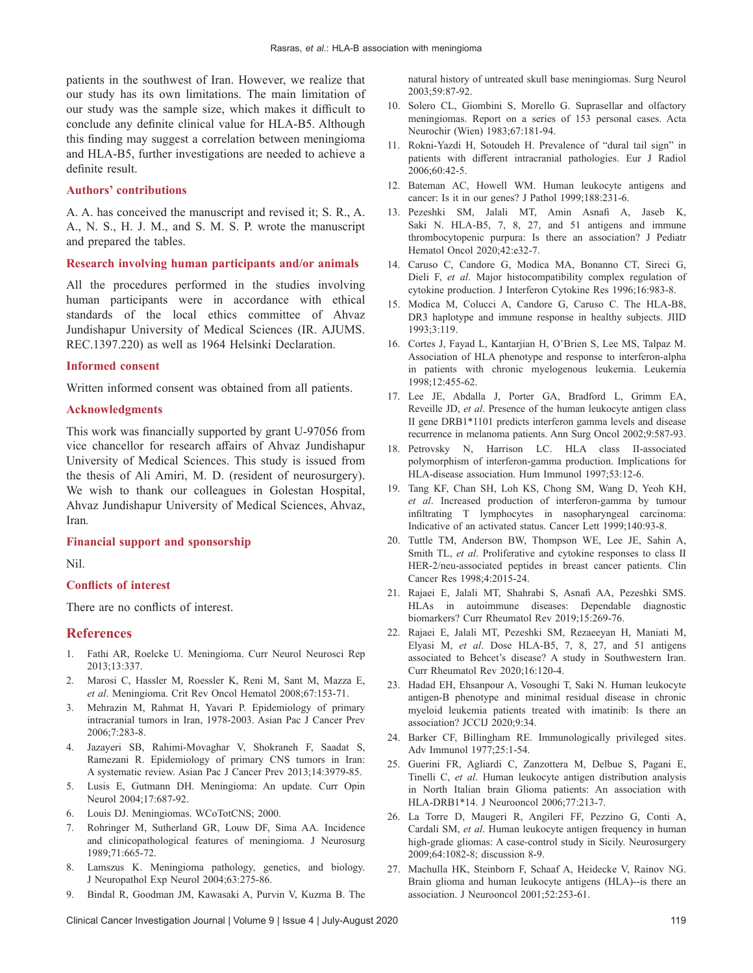patients in the southwest of Iran. However, we realize that our study has its own limitations. The main limitation of our study was the sample size, which makes it difficult to conclude any definite clinical value for HLA‑B5. Although this finding may suggest a correlation between meningioma and HLA‑B5, further investigations are needed to achieve a definite result.

### **Authors' contributions**

A. A. has conceived the manuscript and revised it; S. R., A. A., N. S., H. J. M., and S. M. S. P. wrote the manuscript and prepared the tables.

### **Research involving human participants and/or animals**

All the procedures performed in the studies involving human participants were in accordance with ethical standards of the local ethics committee of Ahvaz Jundishapur University of Medical Sciences (IR. AJUMS. REC.1397.220) as well as 1964 Helsinki Declaration.

## **Informed consent**

Written informed consent was obtained from all patients.

#### **Acknowledgments**

This work was financially supported by grant U‑97056 from vice chancellor for research affairs of Ahvaz Jundishapur University of Medical Sciences. This study is issued from the thesis of Ali Amiri, M. D. (resident of neurosurgery). We wish to thank our colleagues in Golestan Hospital, Ahvaz Jundishapur University of Medical Sciences, Ahvaz, Iran*.*

# **Financial support and sponsorship**

Nil.

#### **Conflicts of interest**

There are no conflicts of interest.

# **References**

- 1. Fathi AR, Roelcke U. Meningioma. Curr Neurol Neurosci Rep 2013;13:337.
- 2. Marosi C, Hassler M, Roessler K, Reni M, Sant M, Mazza E, *et al*. Meningioma. Crit Rev Oncol Hematol 2008;67:153‑71.
- 3. Mehrazin M, Rahmat H, Yavari P. Epidemiology of primary intracranial tumors in Iran, 1978‑2003. Asian Pac J Cancer Prev 2006;7:283‑8.
- 4. Jazayeri SB, Rahimi‑Movaghar V, Shokraneh F, Saadat S, Ramezani R. Epidemiology of primary CNS tumors in Iran: A systematic review. Asian Pac J Cancer Prev 2013;14:3979‑85.
- 5. Lusis E, Gutmann DH. Meningioma: An update. Curr Opin Neurol 2004;17:687‑92.
- 6. Louis DJ. Meningiomas. WCoTotCNS; 2000.
- 7. Rohringer M, Sutherland GR, Louw DF, Sima AA. Incidence and clinicopathological features of meningioma. J Neurosurg 1989;71:665‑72.
- 8. Lamszus K. Meningioma pathology, genetics, and biology. J Neuropathol Exp Neurol 2004;63:275‑86.
- 9. Bindal R, Goodman JM, Kawasaki A, Purvin V, Kuzma B. The

natural history of untreated skull base meningiomas. Surg Neurol 2003;59:87‑92.

- 10. Solero CL, Giombini S, Morello G. Suprasellar and olfactory meningiomas. Report on a series of 153 personal cases. Acta Neurochir (Wien) 1983;67:181‑94.
- 11. Rokni‑Yazdi H, Sotoudeh H. Prevalence of "dural tail sign" in patients with different intracranial pathologies. Eur J Radiol 2006;60:42‑5.
- 12. Bateman AC, Howell WM. Human leukocyte antigens and cancer: Is it in our genes? J Pathol 1999;188:231-6.
- 13. Pezeshki SM, Jalali MT, Amin Asnafi A, Jaseb K, Saki N. HLA-B5, 7, 8, 27, and 51 antigens and immune thrombocytopenic purpura: Is there an association? J Pediatr Hematol Oncol 2020;42:e32‑7.
- 14. Caruso C, Candore G, Modica MA, Bonanno CT, Sireci G, Dieli F, *et al*. Major histocompatibility complex regulation of cytokine production. J Interferon Cytokine Res 1996;16:983‑8.
- 15. Modica M, Colucci A, Candore G, Caruso C. The HLA-B8, DR3 haplotype and immune response in healthy subjects. JIID 1993;3:119.
- 16. Cortes J, Fayad L, Kantarjian H, O'Brien S, Lee MS, Talpaz M. Association of HLA phenotype and response to interferon-alpha in patients with chronic myelogenous leukemia. Leukemia 1998;12:455‑62.
- 17. Lee JE, Abdalla J, Porter GA, Bradford L, Grimm EA, Reveille JD, *et al*. Presence of the human leukocyte antigen class II gene DRB1\*1101 predicts interferon gamma levels and disease recurrence in melanoma patients. Ann Surg Oncol 2002;9:587‑93.
- 18. Petrovsky N, Harrison LC. HLA class II-associated polymorphism of interferon‑gamma production. Implications for HLA-disease association. Hum Immunol 1997;53:12-6.
- 19. Tang KF, Chan SH, Loh KS, Chong SM, Wang D, Yeoh KH, *et al*. Increased production of interferon‑gamma by tumour infiltrating T lymphocytes in nasopharyngeal carcinoma: Indicative of an activated status. Cancer Lett 1999;140:93‑8.
- 20. Tuttle TM, Anderson BW, Thompson WE, Lee JE, Sahin A, Smith TL, *et al*. Proliferative and cytokine responses to class II HER-2/neu-associated peptides in breast cancer patients. Clin Cancer Res 1998;4:2015‑24.
- 21. Rajaei E, Jalali MT, Shahrabi S, Asnafi AA, Pezeshki SMS. HLAs in autoimmune diseases: Dependable diagnostic biomarkers? Curr Rheumatol Rev 2019;15:269-76.
- 22. Rajaei E, Jalali MT, Pezeshki SM, Rezaeeyan H, Maniati M, Elyasi M, *et al*. Dose HLA‑B5, 7, 8, 27, and 51 antigens associated to Behcet's disease? A study in Southwestern Iran. Curr Rheumatol Rev 2020;16:120‑4.
- 23. Hadad EH, Ehsanpour A, Vosoughi T, Saki N. Human leukocyte antigen‑B phenotype and minimal residual disease in chronic myeloid leukemia patients treated with imatinib: Is there an association? JCCIJ 2020;9:34.
- 24. Barker CF, Billingham RE. Immunologically privileged sites. Adv Immunol 1977;25:1‑54.
- 25. Guerini FR, Agliardi C, Zanzottera M, Delbue S, Pagani E, Tinelli C, *et al*. Human leukocyte antigen distribution analysis in North Italian brain Glioma patients: An association with HLA‑DRB1\*14. J Neurooncol 2006;77:213‑7.
- 26. La Torre D, Maugeri R, Angileri FF, Pezzino G, Conti A, Cardali SM, *et al*. Human leukocyte antigen frequency in human high-grade gliomas: A case-control study in Sicily. Neurosurgery 2009;64:1082-8; discussion 8-9.
- 27. Machulla HK, Steinborn F, Schaaf A, Heidecke V, Rainov NG. Brain glioma and human leukocyte antigens (HLA)--is there an association. J Neurooncol 2001;52:253‑61.